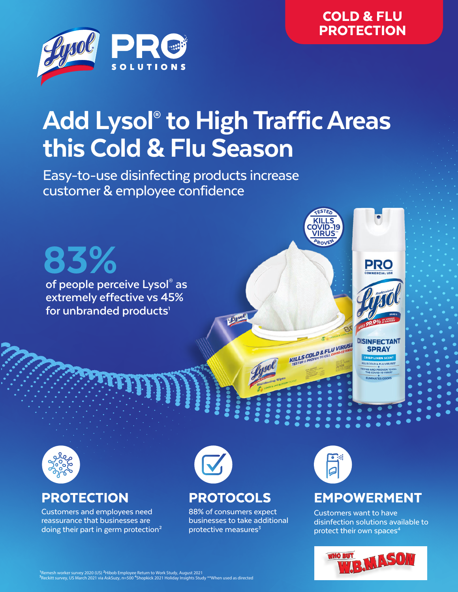

# Add Lysol® to High Traffic Areas this Cold & Flu Season

Easy-to-use disinfecting products increase customer & employee confidence

**of people perceive Lysol® as extremely effective vs 45%**  for unbranded products<sup>1</sup> 83%



**DISINFECTANT SPRAY RISP LINEN SCENT** 



Customers and employees need reassurance that businesses are doing their part in germ protection<sup>2</sup>



88% of consumers expect businesses to take additional protective measures $3$ 



\*\*

**KILLS** OVID-19 VIRUS

**KILLS COLD & FLU VIRUSING** 

## PROTECTION PROTOCOLS EMPOWERMENT

Customers want to have disinfection solutions available to protect their own spaces<sup>4</sup>